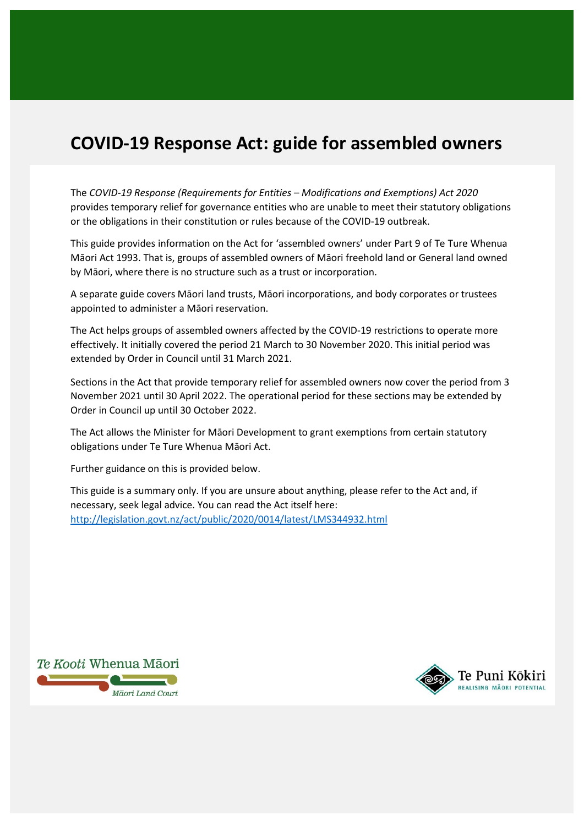# **COVID-19 Response Act: guide for assembled owners**

The *COVID-19 Response (Requirements for Entities – Modifications and Exemptions) Act 2020*  provides temporary relief for governance entities who are unable to meet their statutory obligations or the obligations in their constitution or rules because of the COVID-19 outbreak.

This guide provides information on the Act for 'assembled owners' under Part 9 of Te Ture Whenua Māori Act 1993. That is, groups of assembled owners of Māori freehold land or General land owned by Māori, where there is no structure such as a trust or incorporation.

A separate guide covers Māori land trusts, Māori incorporations, and body corporates or trustees appointed to administer a Māori reservation.

The Act helps groups of assembled owners affected by the COVID-19 restrictions to operate more effectively. It initially covered the period 21 March to 30 November 2020. This initial period was extended by Order in Council until 31 March 2021.

Sections in the Act that provide temporary relief for assembled owners now cover the period from 3 November 2021 until 30 April 2022. The operational period for these sections may be extended by Order in Council up until 30 October 2022.

The Act allows the Minister for Māori Development to grant exemptions from certain statutory obligations under Te Ture Whenua Māori Act.

Further guidance on this is provided below.

This guide is a summary only. If you are unsure about anything, please refer to the Act and, if necessary, seek legal advice. You can read the Act itself here: <http://legislation.govt.nz/act/public/2020/0014/latest/LMS344932.html>



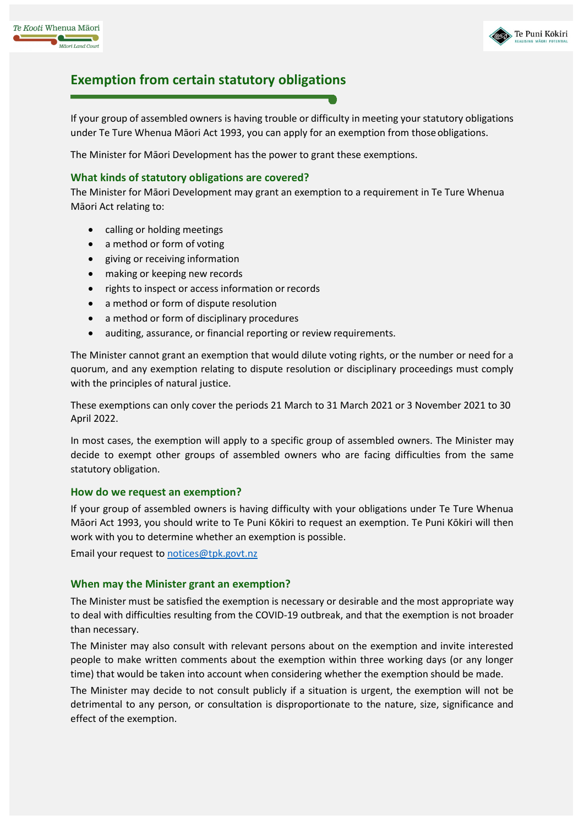



### **Exemption from certain statutory obligations**

If your group of assembled owners is having trouble or difficulty in meeting your statutory obligations under Te Ture Whenua Māori Act 1993, you can apply for an exemption from thoseobligations.

The Minister for Māori Development has the power to grant these exemptions.

#### **What kinds of statutory obligations are covered?**

The Minister for Māori Development may grant an exemption to a requirement in Te Ture Whenua Māori Act relating to:

- calling or holding meetings
- a method or form of voting
- giving or receiving information
- making or keeping new records
- rights to inspect or access information or records
- a method or form of dispute resolution
- a method or form of disciplinary procedures
- auditing, assurance, or financial reporting or review requirements.

The Minister cannot grant an exemption that would dilute voting rights, or the number or need for a quorum, and any exemption relating to dispute resolution or disciplinary proceedings must comply with the principles of natural justice.

These exemptions can only cover the periods 21 March to 31 March 2021 or 3 November 2021 to 30 April 2022.

In most cases, the exemption will apply to a specific group of assembled owners. The Minister may decide to exempt other groups of assembled owners who are facing difficulties from the same statutory obligation.

#### **How do we request an exemption?**

If your group of assembled owners is having difficulty with your obligations under Te Ture Whenua Māori Act 1993, you should write to Te Puni Kōkiri to request an exemption. Te Puni Kōkiri will then work with you to determine whether an exemption is possible.

Email your request to [notices@tpk.govt.nz](mailto:notices@tpk.govt.nz)

#### **When may the Minister grant an exemption?**

The Minister must be satisfied the exemption is necessary or desirable and the most appropriate way to deal with difficulties resulting from the COVID-19 outbreak, and that the exemption is not broader than necessary.

The Minister may also consult with relevant persons about on the exemption and invite interested people to make written comments about the exemption within three working days (or any longer time) that would be taken into account when considering whether the exemption should be made.

The Minister may decide to not consult publicly if a situation is urgent, the exemption will not be detrimental to any person, or consultation is disproportionate to the nature, size, significance and effect of the exemption.